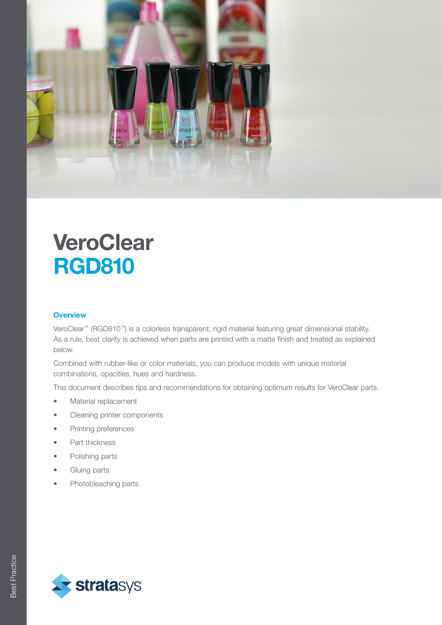

## **Overview**

VeroClear™ (RGD810™) is a colorless transparent, rigid material featuring great dimensional stability. As a rule, best clarity is achieved when parts are printed with a matte finish and treated as explained below.

Combined with rubber-like or color materials, you can produce models with unique material combinations, opacities, hues and hardness.

This document describes tips and recommendations for obtaining optimum results for VeroClear parts.

- Material replacement
- Cleaning printer components
- Printing preferences
- Part thickness
- Polishing parts
- Gluing parts
- Photobleaching parts

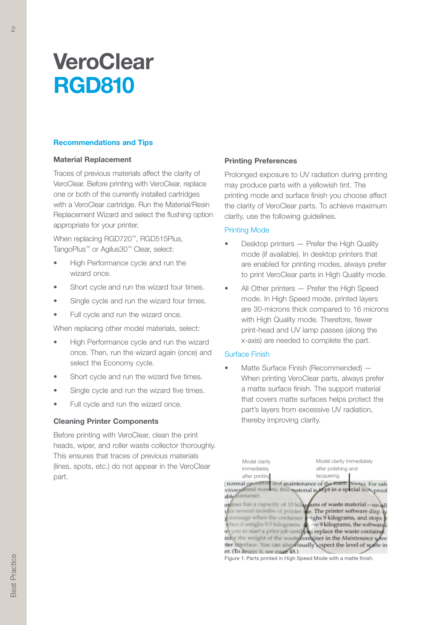### Recommendations and Tips

### Material Replacement

Traces of previous materials affect the clarity of VeroClear. Before printing with VeroClear, replace one or both of the currently installed cartridges with a VeroClear cartridge. Run the Material/Resin Replacement Wizard and select the flushing option appropriate for your printer.

When replacing RGD720™, RGD515Plus, TangoPlus™ or Agilus30™ Clear, select:

- High Performance cycle and run the wizard once.
- Short cycle and run the wizard four times.
- Single cycle and run the wizard four times.
- Full cycle and run the wizard once.

When replacing other model materials, select:

- High Performance cycle and run the wizard once. Then, run the wizard again (once) and select the Economy cycle.
- Short cycle and run the wizard five times.
- Single cycle and run the wizard five times.
- Full cycle and run the wizard once.

### Cleaning Printer Components

Before printing with VeroClear, clean the print heads, wiper, and roller waste collector thoroughly. This ensures that traces of previous materials (lines, spots, etc.) do not appear in the VeroClear part.

### Printing Preferences

Prolonged exposure to UV radiation during printing may produce parts with a yellowish tint. The printing mode and surface finish you choose affect the clarity of VeroClear parts. To achieve maximum clarity, use the following guidelines.

#### Printing Mode

- Desktop printers Prefer the High Quality mode (if available). In desktop printers that are enabled for printing modes, always prefer to print VeroClear parts in High Quality mode.
- All Other printers Prefer the High Speed mode. In High Speed mode, printed layers are 30-microns thick compared to 16 microns with High Quality mode. Therefore, fewer print-head and UV lamp passes (along the x-axis) are needed to complete the part.

### Surface Finish

• Matte Surface Finish (Recommended) — When printing VeroClear parts, always prefer a matte surface finish. The support material that covers matte surfaces helps protect the part's layers from excessive UV radiation, thereby improving clarity.

| Model clarity                                                                                                                                                                                                                                                                                                                                                                                                                                                                                                                                                                                                                                                                                                                                           | Model clarity immediately |
|---------------------------------------------------------------------------------------------------------------------------------------------------------------------------------------------------------------------------------------------------------------------------------------------------------------------------------------------------------------------------------------------------------------------------------------------------------------------------------------------------------------------------------------------------------------------------------------------------------------------------------------------------------------------------------------------------------------------------------------------------------|---------------------------|
| immediately                                                                                                                                                                                                                                                                                                                                                                                                                                                                                                                                                                                                                                                                                                                                             | after polishing and       |
| after printind                                                                                                                                                                                                                                                                                                                                                                                                                                                                                                                                                                                                                                                                                                                                          | lacquering                |
| ; normal operation and maintenance of the Eden primer. For safe<br>virons ental reasons, this material is kept in a special leve-proof<br>ablocontainer.<br>nthiner has a capacity of 10 kille lams of waste material-usuall<br>for several months of printer se. The printer software disp'ay<br>message when the container vighs 9 kilograms, and stops h<br>when it weighs 9.5 kilograms. At  ve 9 kilograms, the softwardd<br>we you to start a print job untilly ou replace the waste containg.<br>nitor the weight of the wasterconfriner in the Maintenance served<br>tter raterface. You can also visually x spect the level of waste in<br>er. (To access it, see page 48.)<br>Figure 1: Parts printed in High Speed Mode with a matte finish. |                           |
|                                                                                                                                                                                                                                                                                                                                                                                                                                                                                                                                                                                                                                                                                                                                                         |                           |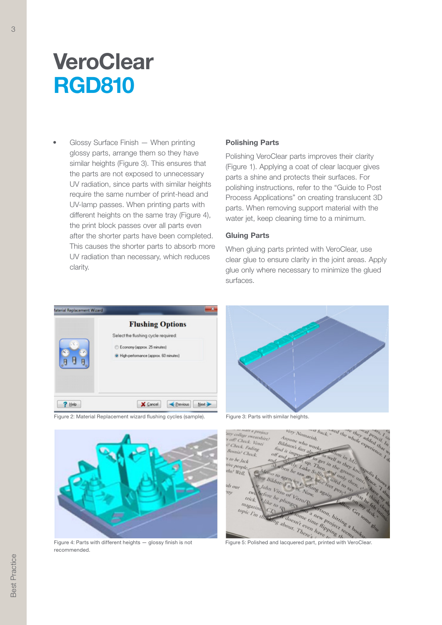• Glossy Surface Finish — When printing glossy parts, arrange them so they have similar heights (Figure 3). This ensures that the parts are not exposed to unnecessary UV radiation, since parts with similar heights require the same number of print-head and UV-lamp passes. When printing parts with different heights on the same tray (Figure 4), the print block passes over all parts even after the shorter parts have been completed. This causes the shorter parts to absorb more UV radiation than necessary, which reduces clarity.

#### Polishing Parts

Polishing VeroClear parts improves their clarity (Figure 1). Applying a coat of clear lacquer gives parts a shine and protects their surfaces. For polishing instructions, refer to the "Guide to Post Process Applications" on creating translucent 3D parts. When removing support material with the water jet, keep cleaning time to a minimum.

#### Gluing Parts

When gluing parts printed with VeroClear, use clear glue to ensure clarity in the joint areas. Apply glue only where necessary to minimize the glued surfaces.



Figure 2: Material Replacement wizard flushing cycles (sample). Figure 3: Parts with similar heights.



recommended.



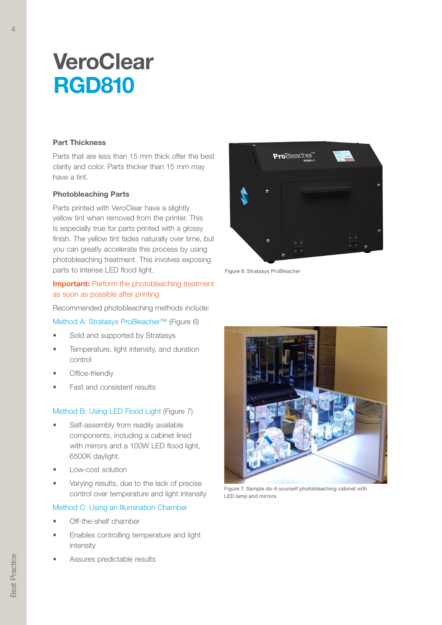## Part Thickness

Parts that are less than 15 mm thick offer the best clarity and color. Parts thicker than 15 mm may have a tint.

### Photobleaching Parts

Parts printed with VeroClear have a slightly yellow tint when removed from the printer. This is especially true for parts printed with a glossy finish. The yellow tint fades naturally over time, but you can greatly accelerate this process by using photobleaching treatment. This involves exposing parts to intense LED flood light.

## **Important:** Perform the photobleaching treatment as soon as possible after printing.

Recommended photobleaching methods include:

### Method A: Stratasys ProBleacher™ (Figure 6)

- Sold and supported by Stratasys
- Temperature, light intensity, and duration control
- Office-friendly
- Fast and consistent results

## Method B: Using LED Flood Light (Figure 7)

- Self-assembly from readily available components, including a cabinet lined with mirrors and a 100W LED flood light, 6500K daylight.
- Low-cost solution
- Varying results, due to the lack of precise control over temperature and light intensity

### Method C: Using an Illumination Chamber

- Off-the-shelf chamber
- Enables controlling temperature and light intensity
- Assures predictable results



Figure 6: Stratasys ProBleacher



Figure 7: Sample do-it-yourself photobleaching cabinet with LED lamp and mirrors.